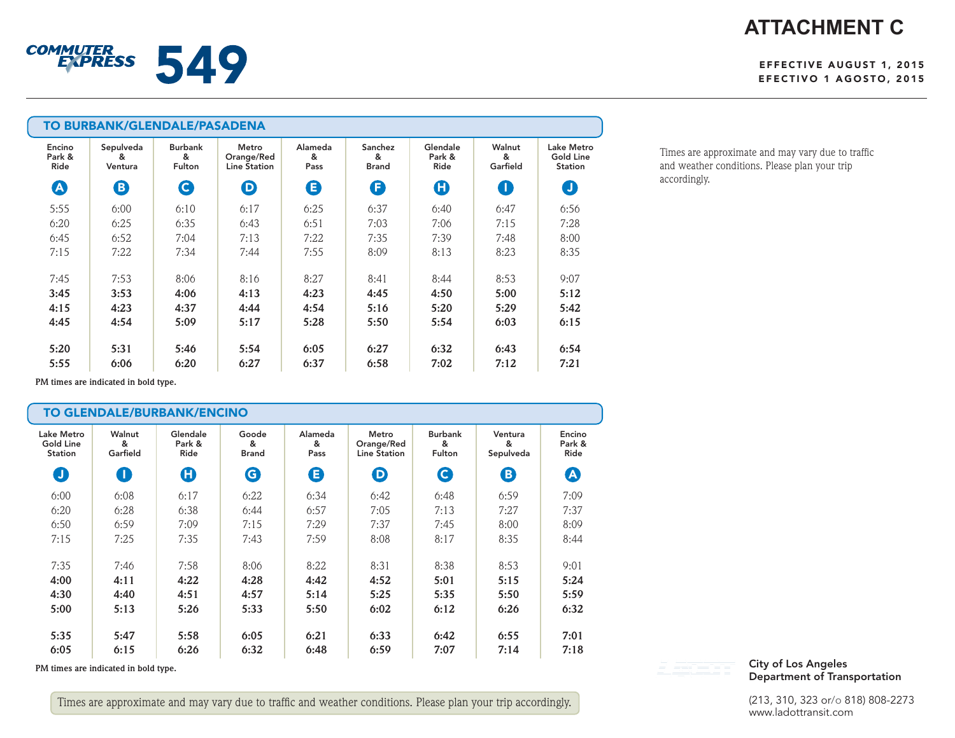# **ATTACHMENT C**

#### EFFECTIVE AUGUST 1, 2015 EFECTIVO 1 AGOSTO, 2015

| <b>TO BURBANK/GLENDALE/PASADENA</b> |                           |                                      |                                            |                      |                              |                            |                         |                                                  |
|-------------------------------------|---------------------------|--------------------------------------|--------------------------------------------|----------------------|------------------------------|----------------------------|-------------------------|--------------------------------------------------|
| Encino<br>Park &<br>Ride            | Sepulveda<br>&<br>Ventura | <b>Burbank</b><br>&<br><b>Fulton</b> | Metro<br>Orange/Red<br><b>Line Station</b> | Alameda<br>&<br>Pass | Sanchez<br>&<br><b>Brand</b> | Glendale<br>Park &<br>Ride | Walnut<br>&<br>Garfield | Lake Metro<br><b>Gold Line</b><br><b>Station</b> |
| $\boldsymbol{\Omega}$               | ❸                         | Q                                    | $\boldsymbol{\Theta}$                      | G                    | G                            | O                          | O                       | O                                                |
| 5:55                                | 6:00                      | 6:10                                 | 6:17                                       | 6:25                 | 6:37                         | 6:40                       | 6:47                    | 6:56                                             |
| 6:20                                | 6:25                      | 6:35                                 | 6:43                                       | 6:51                 | 7:03                         | 7:06                       | 7:15                    | 7:28                                             |
| 6:45                                | 6:52                      | 7:04                                 | 7:13                                       | 7:22                 | 7:35                         | 7:39                       | 7:48                    | 8:00                                             |
| 7:15                                | 7:22                      | 7:34                                 | 7:44                                       | 7:55                 | 8:09                         | 8:13                       | 8:23                    | 8:35                                             |
| 7:45                                | 7:53                      | 8:06                                 | 8:16                                       | 8:27                 | 8:41                         | 8:44                       | 8:53                    | 9:07                                             |
| 3:45                                | 3:53                      | 4:06                                 | 4:13                                       | 4:23                 | 4:45                         | 4:50                       | 5:00                    | 5:12                                             |
| 4:15                                | 4:23                      | 4:37                                 | 4:44                                       | 4:54                 | 5:16                         | 5:20                       | 5:29                    | 5:42                                             |
| 4:45                                | 4:54                      | 5:09                                 | 5:17                                       | 5:28                 | 5:50                         | 5:54                       | 6:03                    | 6:15                                             |
| 5:20                                | 5:31                      | 5:46                                 | 5:54                                       | 6:05                 | 6:27                         | 6:32                       | 6:43                    | 6:54                                             |
| 5:55                                | 6:06                      | 6:20                                 | 6:27                                       | 6:37                 | 6:58                         | 7:02                       | 7:12                    | 7:21                                             |

Times are approximate and may vary due to traffic and weather conditions. Please plan your trip accordingly.

**PM times are indicated in bold type.**

COMMUTERS 549

| TO GLENDALE/BURBANK/ENCINO                |                         |                            |                            |                      |                                            |                               |                           |                          |
|-------------------------------------------|-------------------------|----------------------------|----------------------------|----------------------|--------------------------------------------|-------------------------------|---------------------------|--------------------------|
| Lake Metro<br><b>Gold Line</b><br>Station | Walnut<br>&<br>Garfield | Glendale<br>Park &<br>Ride | Goode<br>&<br><b>Brand</b> | Alameda<br>&<br>Pass | Metro<br>Orange/Red<br><b>Line Station</b> | <b>Burbank</b><br>&<br>Fulton | Ventura<br>&<br>Sepulveda | Encino<br>Park &<br>Ride |
| O                                         | O                       | O                          | G                          | Θ                    | $\boldsymbol{\Theta}$                      | $\mathbf G$                   | B)                        | $\boldsymbol{\Delta}$    |
| 6:00                                      | 6:08                    | 6:17                       | 6:22                       | 6:34                 | 6:42                                       | 6:48                          | 6:59                      | 7:09                     |
| 6:20                                      | 6:28                    | 6:38                       | 6:44                       | 6:57                 | 7:05                                       | 7:13                          | 7:27                      | 7:37                     |
| 6:50                                      | 6:59                    | 7:09                       | 7:15                       | 7:29                 | 7:37                                       | 7:45                          | 8:00                      | 8:09                     |
| 7:15                                      | 7:25                    | 7:35                       | 7:43                       | 7:59                 | 8:08                                       | 8:17                          | 8:35                      | 8:44                     |
| 7:35                                      | 7:46                    | 7:58                       | 8:06                       | 8:22                 | 8:31                                       | 8:38                          | 8:53                      | 9:01                     |
| 4:00                                      | 4:11                    | 4:22                       | 4:28                       | 4:42                 | 4:52                                       | 5:01                          | 5:15                      | 5:24                     |
| 4:30                                      | 4:40                    | 4:51                       | 4:57                       | 5:14                 | 5:25                                       | 5:35                          | 5:50                      | 5:59                     |
| 5:00                                      | 5:13                    | 5:26                       | 5:33                       | 5:50                 | 6:02                                       | 6:12                          | 6:26                      | 6:32                     |
| 5:35                                      | 5:47                    | 5:58                       | 6:05                       | 6:21                 | 6:33                                       | 6:42                          | 6:55                      | 7:01                     |
| 6:05                                      | 6:15                    | 6:26                       | 6:32                       | 6:48                 | 6:59                                       | 7:07                          | 7:14                      | 7:18                     |

**PM times are indicated in bold type.**

Times are approximate and may vary due to traffic and weather conditions. Please plan your trip accordingly.

#### City of Los Angeles Department of Transportation

(213, 310, 323 or/o 818) 808-2273 www.ladottransit.com